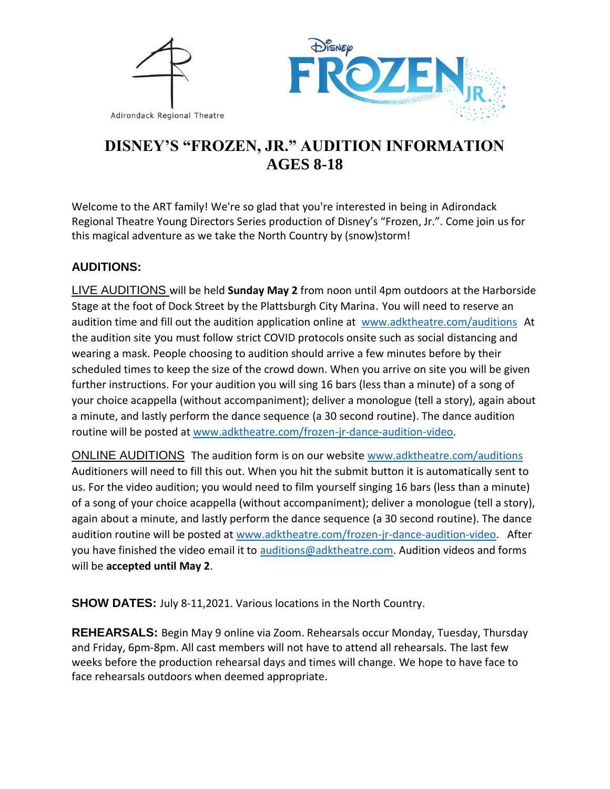



# **DISNEY'S "FROZEN, JR." AUDITION INFORMATION AGES 8-18**

Welcome to the ART family! We're so glad that you're interested in being in Adirondack Regional Theatre Young Directors Series production of Disney's "Frozen, Jr.". Come join us for this magical adventure as we take the North Country by (snow)storm!

# **AUDITIONS:**

LIVE AUDITIONS will be held **Sunday May 2** from noon until 4pm outdoors at the Harborside Stage at the foot of Dock Street by the Plattsburgh City Marina. You will need to reserve an audition time and fill out the audition application online at [www.adktheatre.com/auditions](http://www.adktheatre.com/) At the audition site you must follow strict COVID protocols onsite such as social distancing and wearing a mask. People choosing to audition should arrive a few minutes before by their scheduled times to keep the size of the crowd down. When you arrive on site you will be given further instructions. For your audition you will sing 16 bars (less than a minute) of a song of your choice acappella (without accompaniment); deliver a monologue (tell a story), again about a minute, and lastly perform the dance sequence (a 30 second routine). The dance audition routine will be posted at [www.adktheatre.com/frozen-jr-dance-audition-video.](http://www.adktheatre.com/frozen-jr-dance-audition-video)

ONLINE AUDITIONS The audition form is on our website [www.adktheatre.com/auditions](http://www.adktheatre.com/) Auditioners will need to fill this out. When you hit the submit button it is automatically sent to us. For the video audition; you would need to film yourself singing 16 bars (less than a minute) of a song of your choice acappella (without accompaniment); deliver a monologue (tell a story), again about a minute, and lastly perform the dance sequence (a 30 second routine). The dance audition routine will be posted at [www.adktheatre.com/frozen-jr-dance-audition-video.](http://www.adktheatre.com/frozen-jr-dance-audition-video) After you have finished the video email it to [auditions@adktheatre.com.](file:///F:/Adirondack%20Regional%20Theatre%20Master%20File/Frozen%20Jr/auditions@adktheatre.com) Audition videos and forms will be **accepted until May 2**.

**SHOW DATES:** July 8-11,2021. Various locations in the North Country.

**REHEARSALS:** Begin May 9 online via Zoom. Rehearsals occur Monday, Tuesday, Thursday and Friday, 6pm-8pm. All cast members will not have to attend all rehearsals. The last few weeks before the production rehearsal days and times will change. We hope to have face to face rehearsals outdoors when deemed appropriate.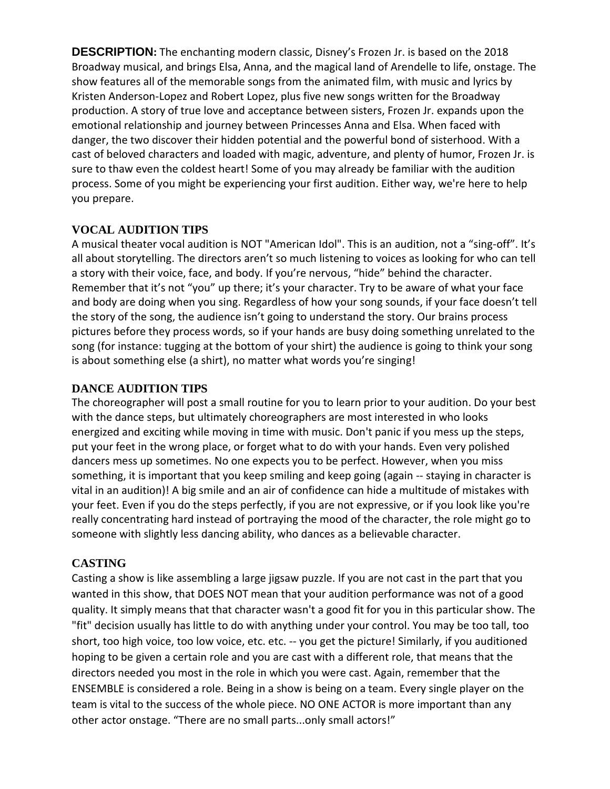**DESCRIPTION:** The enchanting modern classic, Disney's Frozen Jr. is based on the 2018 Broadway musical, and brings Elsa, Anna, and the magical land of Arendelle to life, onstage. The show features all of the memorable songs from the animated film, with music and lyrics by Kristen Anderson-Lopez and Robert Lopez, plus five new songs written for the Broadway production. A story of true love and acceptance between sisters, Frozen Jr. expands upon the emotional relationship and journey between Princesses Anna and Elsa. When faced with danger, the two discover their hidden potential and the powerful bond of sisterhood. With a cast of beloved characters and loaded with magic, adventure, and plenty of humor, Frozen Jr. is sure to thaw even the coldest heart! Some of you may already be familiar with the audition process. Some of you might be experiencing your first audition. Either way, we're here to help you prepare.

# **VOCAL AUDITION TIPS**

A musical theater vocal audition is NOT "American Idol". This is an audition, not a "sing-off". It's all about storytelling. The directors aren't so much listening to voices as looking for who can tell a story with their voice, face, and body. If you're nervous, "hide" behind the character. Remember that it's not "you" up there; it's your character. Try to be aware of what your face and body are doing when you sing. Regardless of how your song sounds, if your face doesn't tell the story of the song, the audience isn't going to understand the story. Our brains process pictures before they process words, so if your hands are busy doing something unrelated to the song (for instance: tugging at the bottom of your shirt) the audience is going to think your song is about something else (a shirt), no matter what words you're singing!

# **DANCE AUDITION TIPS**

The choreographer will post a small routine for you to learn prior to your audition. Do your best with the dance steps, but ultimately choreographers are most interested in who looks energized and exciting while moving in time with music. Don't panic if you mess up the steps, put your feet in the wrong place, or forget what to do with your hands. Even very polished dancers mess up sometimes. No one expects you to be perfect. However, when you miss something, it is important that you keep smiling and keep going (again -- staying in character is vital in an audition)! A big smile and an air of confidence can hide a multitude of mistakes with your feet. Even if you do the steps perfectly, if you are not expressive, or if you look like you're really concentrating hard instead of portraying the mood of the character, the role might go to someone with slightly less dancing ability, who dances as a believable character.

# **CASTING**

Casting a show is like assembling a large jigsaw puzzle. If you are not cast in the part that you wanted in this show, that DOES NOT mean that your audition performance was not of a good quality. It simply means that that character wasn't a good fit for you in this particular show. The "fit" decision usually has little to do with anything under your control. You may be too tall, too short, too high voice, too low voice, etc. etc. -- you get the picture! Similarly, if you auditioned hoping to be given a certain role and you are cast with a different role, that means that the directors needed you most in the role in which you were cast. Again, remember that the ENSEMBLE is considered a role. Being in a show is being on a team. Every single player on the team is vital to the success of the whole piece. NO ONE ACTOR is more important than any other actor onstage. "There are no small parts...only small actors!"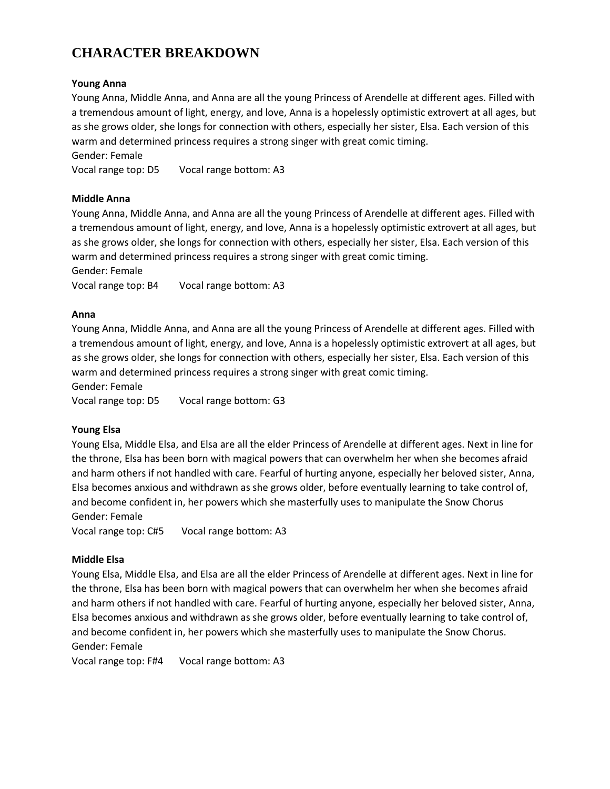# **CHARACTER BREAKDOWN**

### **Young Anna**

Young Anna, Middle Anna, and Anna are all the young Princess of Arendelle at different ages. Filled with a tremendous amount of light, energy, and love, Anna is a hopelessly optimistic extrovert at all ages, but as she grows older, she longs for connection with others, especially her sister, Elsa. Each version of this warm and determined princess requires a strong singer with great comic timing.

Gender: Female

Vocal range top: D5 Vocal range bottom: A3

### **Middle Anna**

Young Anna, Middle Anna, and Anna are all the young Princess of Arendelle at different ages. Filled with a tremendous amount of light, energy, and love, Anna is a hopelessly optimistic extrovert at all ages, but as she grows older, she longs for connection with others, especially her sister, Elsa. Each version of this warm and determined princess requires a strong singer with great comic timing.

Gender: Female

Vocal range top: B4 Vocal range bottom: A3

#### **Anna**

Young Anna, Middle Anna, and Anna are all the young Princess of Arendelle at different ages. Filled with a tremendous amount of light, energy, and love, Anna is a hopelessly optimistic extrovert at all ages, but as she grows older, she longs for connection with others, especially her sister, Elsa. Each version of this warm and determined princess requires a strong singer with great comic timing.

Gender: Female

Vocal range top: D5 Vocal range bottom: G3

### **Young Elsa**

Young Elsa, Middle Elsa, and Elsa are all the elder Princess of Arendelle at different ages. Next in line for the throne, Elsa has been born with magical powers that can overwhelm her when she becomes afraid and harm others if not handled with care. Fearful of hurting anyone, especially her beloved sister, Anna, Elsa becomes anxious and withdrawn as she grows older, before eventually learning to take control of, and become confident in, her powers which she masterfully uses to manipulate the Snow Chorus Gender: Female

Vocal range top: C#5 Vocal range bottom: A3

### **Middle Elsa**

Young Elsa, Middle Elsa, and Elsa are all the elder Princess of Arendelle at different ages. Next in line for the throne, Elsa has been born with magical powers that can overwhelm her when she becomes afraid and harm others if not handled with care. Fearful of hurting anyone, especially her beloved sister, Anna, Elsa becomes anxious and withdrawn as she grows older, before eventually learning to take control of, and become confident in, her powers which she masterfully uses to manipulate the Snow Chorus. Gender: Female

Vocal range top: F#4 Vocal range bottom: A3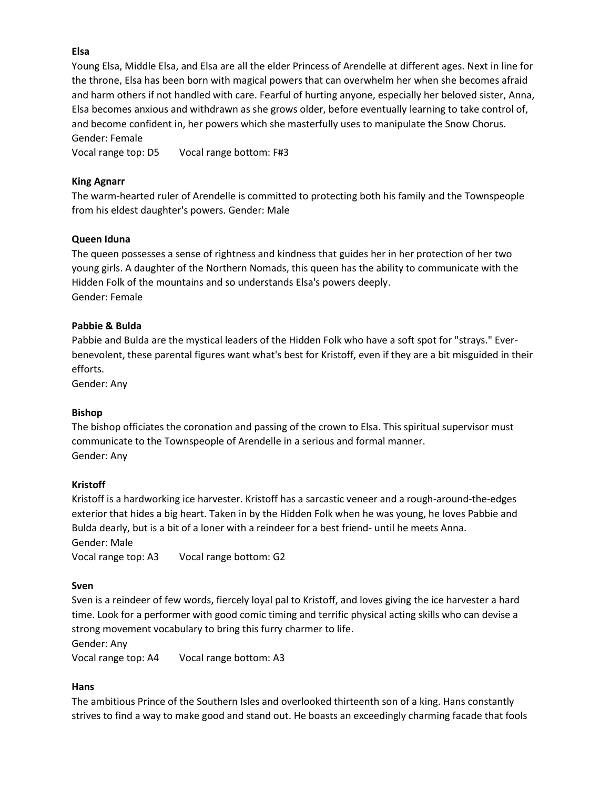# **Elsa**

Young Elsa, Middle Elsa, and Elsa are all the elder Princess of Arendelle at different ages. Next in line for the throne, Elsa has been born with magical powers that can overwhelm her when she becomes afraid and harm others if not handled with care. Fearful of hurting anyone, especially her beloved sister, Anna, Elsa becomes anxious and withdrawn as she grows older, before eventually learning to take control of, and become confident in, her powers which she masterfully uses to manipulate the Snow Chorus. Gender: Female

Vocal range top: D5 Vocal range bottom: F#3

#### **King Agnarr**

The warm-hearted ruler of Arendelle is committed to protecting both his family and the Townspeople from his eldest daughter's powers. Gender: Male

#### **Queen Iduna**

The queen possesses a sense of rightness and kindness that guides her in her protection of her two young girls. A daughter of the Northern Nomads, this queen has the ability to communicate with the Hidden Folk of the mountains and so understands Elsa's powers deeply. Gender: Female

#### **Pabbie & Bulda**

Pabbie and Bulda are the mystical leaders of the Hidden Folk who have a soft spot for "strays." Everbenevolent, these parental figures want what's best for Kristoff, even if they are a bit misguided in their efforts.

Gender: Any

#### **Bishop**

The bishop officiates the coronation and passing of the crown to Elsa. This spiritual supervisor must communicate to the Townspeople of Arendelle in a serious and formal manner. Gender: Any

#### **Kristoff**

Kristoff is a hardworking ice harvester. Kristoff has a sarcastic veneer and a rough-around-the-edges exterior that hides a big heart. Taken in by the Hidden Folk when he was young, he loves Pabbie and Bulda dearly, but is a bit of a loner with a reindeer for a best friend- until he meets Anna.

Gender: Male

Vocal range top: A3 Vocal range bottom: G2

#### **Sven**

Sven is a reindeer of few words, fiercely loyal pal to Kristoff, and loves giving the ice harvester a hard time. Look for a performer with good comic timing and terrific physical acting skills who can devise a strong movement vocabulary to bring this furry charmer to life.

Gender: Any

Vocal range top: A4 Vocal range bottom: A3

#### **Hans**

The ambitious Prince of the Southern Isles and overlooked thirteenth son of a king. Hans constantly strives to find a way to make good and stand out. He boasts an exceedingly charming facade that fools